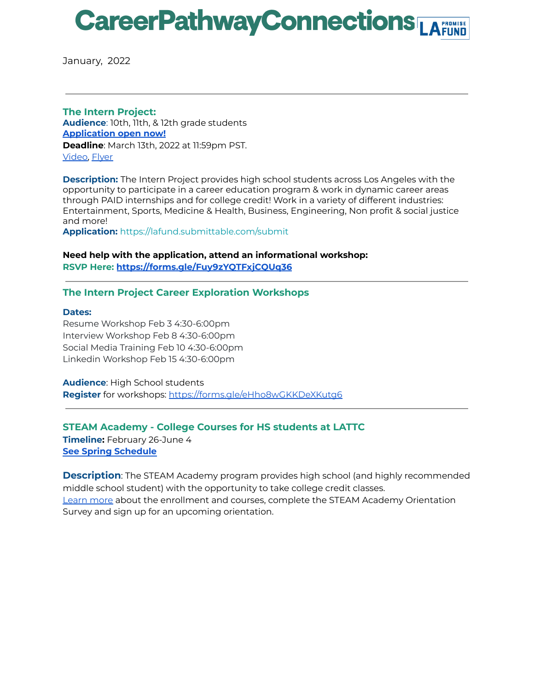## **CareerPathwayConnections**

January, 2022

**The Intern Project: Audience**: 10th, 11th, & 12th grade students **[Application](https://www.theinternproject.org/) open now! Deadline**: March 13th, 2022 at 11:59pm PST. [Video,](https://drive.google.com/file/d/1bkf9uGkXzE_khXubhtRAJa5i4MG1ndmC/view) [Flyer](https://drive.google.com/file/d/11GSq9wLCN7XOWYdrBUZBUCuWalb1haNE/view?usp=sharing)

**Description:** The Intern Project provides high school students across Los Angeles with the opportunity to participate in a career education program & work in dynamic career areas through PAID internships and for college credit! Work in a variety of different industries: Entertainment, Sports, Medicine & Health, Business, Engineering, Non profit & social justice and more!

**Application:** <https://lafund.submittable.com/submit>

**Need help with the application, attend an informational workshop: RSVP Here: <https://forms.gle/Fuy9zYQTFxjCQUq36>**

### **The Intern Project Career Exploration Workshops**

#### **Dates:**

Resume Workshop Feb 3 4:30-6:00pm Interview Workshop Feb 8 4:30-6:00pm Social Media Training Feb 10 4:30-6:00pm Linkedin Workshop Feb 15 4:30-6:00pm

**Audience**: High School students **[Register](https://docs.google.com/forms/d/e/1FAIpQLSeqVu7ouYr4v-RD5ziqQeObhqnXpDWDIPJGUJCIyTIkokkrLA/viewform)** for workshops: <https://forms.gle/eHho8wGKKDeXKutg6>

**STEAM Academy - College Courses for HS students at LATTC**

**Timeline:** February 26-June 4 **See Spring [Schedule](https://drive.google.com/file/d/1oNPaVBhwDRtecPG_2ZSWZMp82PhFP0Hv/view?usp=sharing)**

**Description**: The STEAM Academy program provides high school (and highly recommended middle school student) with the opportunity to take college credit classes. [Learn](http://www.lattc.edu/services/academic/academic-connections/steam) more about the enrollment and courses, complete the STEAM Academy Orientation Survey and sign up for an upcoming orientation.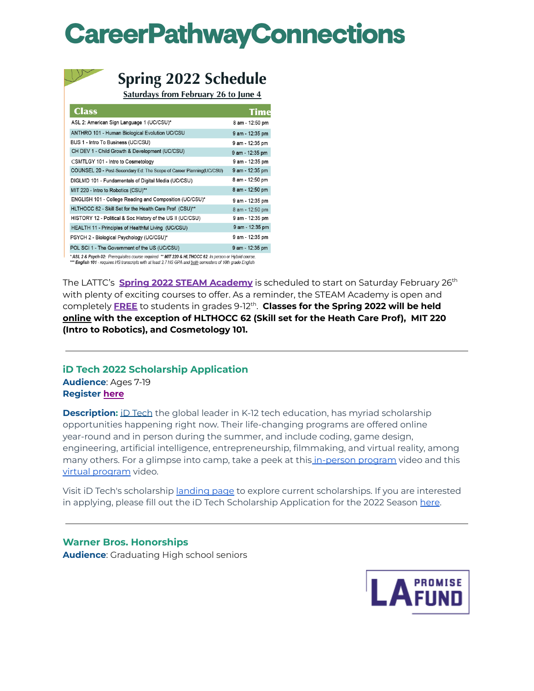# **CareerPathwayConnections**



## **Spring 2022 Schedule**

Saturdays from February 26 to June 4

| <b>Class</b>                                                          | Time            |
|-----------------------------------------------------------------------|-----------------|
| ASL 2: American Sign Language 1 (UC/CSU)*                             | 8 am - 12:50 pm |
| ANTHRO 101 - Human Biological Evolution UC/CSU                        | 9 am - 12:35 pm |
| BUS 1 - Intro To Business (UC/CSU)                                    | 9 am - 12:35 pm |
| CH DEV 1 - Child Growth & Development (UC/CSU)                        | 9 am - 12:35 pm |
| CSMTLGY 101 - Intro to Cosmetology                                    | 9 am - 12:35 pm |
| COUNSEL 20 - Post-Secondary Ed: The Scope of Career Planning (UC/CSU) | 9 am - 12:35 pm |
| DIGLMD 101 - Fundamentals of Digital Media (UC/CSU)                   | 8 am - 12:50 pm |
| MIT 220 - Intro to Robotics (CSU)**                                   | 8 am - 12:50 pm |
| ENGLISH 101 - College Reading and Composition (UC/CSU)*               | 9 am - 12:35 pm |
| HLTHOCC 62 - Skill Set for the Health Care Prof (CSU)**               | 8 am - 12:50 pm |
| HISTORY 12 - Political & Soc History of the US II (UC/CSU)            | 9 am - 12:35 pm |
| HEALTH 11 - Principles of Healthful Living (UC/CSU)                   | 9 am - 12:35 pm |
| PSYCH 2 - Biological Psychology (UC/CSU)*                             | 9 am - 12:35 pm |
| POL SCI 1 - The Government of the US (UC/CSU)                         | 9 am - 12:35 pm |
|                                                                       |                 |

\* ASL 2 & Psych 02: Prerequisites course required \*\* MIT 220 & HLTHOCC 62: In person or Hybrid course \*\*\* English 101 - requires HS transcripts with at least 2.7 HS GPA and both semesters of 10th grade English

The LATTC's **Spring 2022 STEAM Academy** is scheduled to start on Saturday February 26 th with plenty of exciting courses to offer. As a reminder, the STEAM Academy is open and completely **FREE** to students in grades 9-12 th . **Classes for the Spring 2022 will be held online with the exception of HLTHOCC 62 (Skill set for the Heath Care Prof), MIT 220 (Intro to Robotics), and Cosmetology 101.**

## **iD Tech 2022 Scholarship Application Audience**: Ages 7-19 **[Register](https://docs.google.com/forms/d/e/1FAIpQLSeqVu7ouYr4v-RD5ziqQeObhqnXpDWDIPJGUJCIyTIkokkrLA/viewform) [here](https://tinyurl.com/iDTech2022Season)**

**Description:** iD [Tech](https://www.idtech.com/) the global leader in K-12 tech education, has myriad scholarship opportunities happening right now. Their life-changing programs are offered online year-round and in person during the summer, and include coding, game design, engineering, artificial intelligence, entrepreneurship, filmmaking, and virtual reality, among many others. For a glimpse into camp, take a peek at this [in-person](https://www.youtube.com/watch?v=oCUut2-cMss) program video and this virtual [program](https://www.youtube.com/watch?v=21rF-UoP4ik) video.

Visit iD Tech's scholarship [landing](https://www.idtech.com/tuition-assistance) page to explore current scholarships. If you are interested in applying, please fill out the iD Tech Scholarship Application for the 2022 Season [here](https://docs.google.com/forms/d/e/1FAIpQLSc-CLtVGVMJ3bzhxzGylwL16tH8_lfsPYzE1S_n5ao845sgTw/viewform).

**Warner Bros. Honorships Audience**: Graduating High school seniors